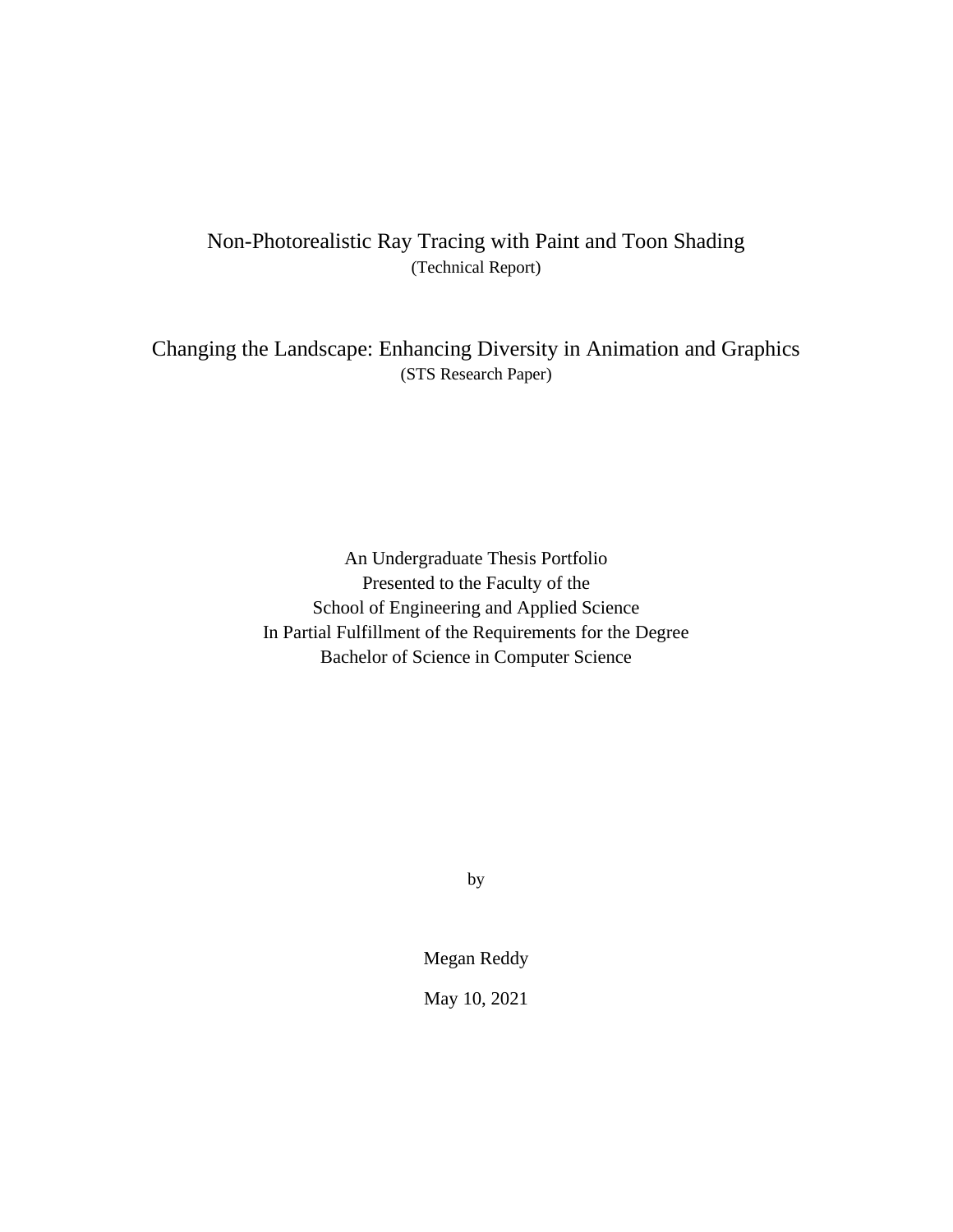## Non-Photorealistic Ray Tracing with Paint and Toon Shading (Technical Report)

Changing the Landscape: Enhancing Diversity in Animation and Graphics (STS Research Paper)

> An Undergraduate Thesis Portfolio Presented to the Faculty of the School of Engineering and Applied Science In Partial Fulfillment of the Requirements for the Degree Bachelor of Science in Computer Science

> > by

Megan Reddy

May 10, 2021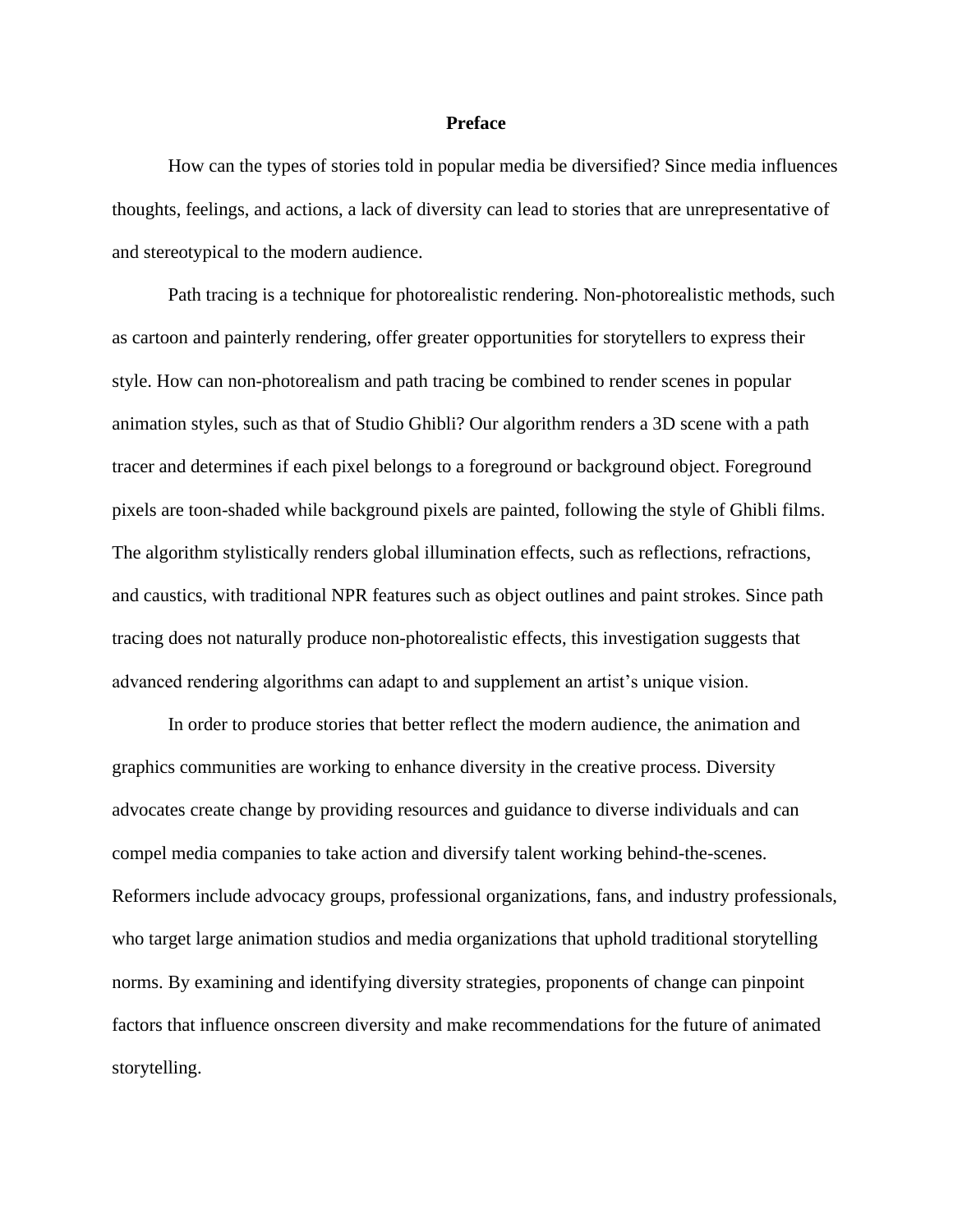## **Preface**

How can the types of stories told in popular media be diversified? Since media influences thoughts, feelings, and actions, a lack of diversity can lead to stories that are unrepresentative of and stereotypical to the modern audience.

Path tracing is a technique for photorealistic rendering. Non-photorealistic methods, such as cartoon and painterly rendering, offer greater opportunities for storytellers to express their style. How can non-photorealism and path tracing be combined to render scenes in popular animation styles, such as that of Studio Ghibli? Our algorithm renders a 3D scene with a path tracer and determines if each pixel belongs to a foreground or background object. Foreground pixels are toon-shaded while background pixels are painted, following the style of Ghibli films. The algorithm stylistically renders global illumination effects, such as reflections, refractions, and caustics, with traditional NPR features such as object outlines and paint strokes. Since path tracing does not naturally produce non-photorealistic effects, this investigation suggests that advanced rendering algorithms can adapt to and supplement an artist's unique vision.

In order to produce stories that better reflect the modern audience, the animation and graphics communities are working to enhance diversity in the creative process. Diversity advocates create change by providing resources and guidance to diverse individuals and can compel media companies to take action and diversify talent working behind-the-scenes. Reformers include advocacy groups, professional organizations, fans, and industry professionals, who target large animation studios and media organizations that uphold traditional storytelling norms. By examining and identifying diversity strategies, proponents of change can pinpoint factors that influence onscreen diversity and make recommendations for the future of animated storytelling.